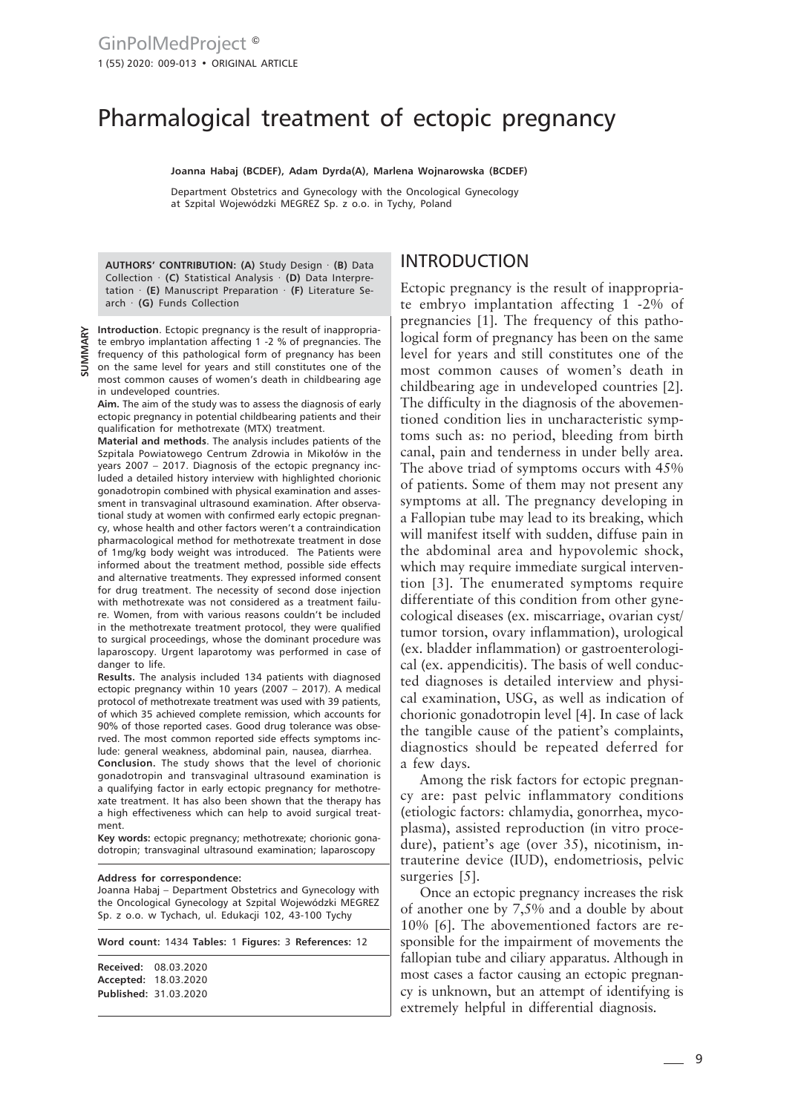# Pharmalogical treatment of ectopic pregnancy

**Joanna Habaj (BCDEF), Adam Dyrda(A), Marlena Wojnarowska (BCDEF)**

Department Obstetrics and Gynecology with the Oncological Gynecology at Szpital Wojewódzki MEGREZ Sp. z o.o. in Tychy, Poland

**AUTHORS' CONTRIBUTION: (A)** Study Design · **(B)** Data Collection · **(C)** Statistical Analysis · **(D)** Data Interpretation · **(E)** Manuscript Preparation · **(F)** Literature Search · **(G)** Funds Collection

**Introduction**. Ectopic pregnancy is the result of inappropriate embryo implantation affecting 1 -2 % of pregnancies. The frequency of this pathological form of pregnancy has been on the same level for years and still constitutes one of the most common causes of women's death in childbearing age in undeveloped countries.

**Aim.** The aim of the study was to assess the diagnosis of early ectopic pregnancy in potential childbearing patients and their qualification for methotrexate (MTX) treatment.

**Material and methods**. The analysis includes patients of the Szpitala Powiatowego Centrum Zdrowia in Mikołów in the years 2007 – 2017. Diagnosis of the ectopic pregnancy included a detailed history interview with highlighted chorionic gonadotropin combined with physical examination and assessment in transvaginal ultrasound examination. After observational study at women with confirmed early ectopic pregnancy, whose health and other factors weren't a contraindication pharmacological method for methotrexate treatment in dose of 1mg/kg body weight was introduced. The Patients were informed about the treatment method, possible side effects and alternative treatments. They expressed informed consent for drug treatment. The necessity of second dose injection with methotrexate was not considered as a treatment failure. Women, from with various reasons couldn't be included in the methotrexate treatment protocol, they were qualified to surgical proceedings, whose the dominant procedure was laparoscopy. Urgent laparotomy was performed in case of danger to life.

**Results.** The analysis included 134 patients with diagnosed ectopic pregnancy within 10 years (2007 – 2017). A medical protocol of methotrexate treatment was used with 39 patients, of which 35 achieved complete remission, which accounts for 90% of those reported cases. Good drug tolerance was observed. The most common reported side effects symptoms include: general weakness, abdominal pain, nausea, diarrhea.

**Conclusion.** The study shows that the level of chorionic gonadotropin and transvaginal ultrasound examination is a qualifying factor in early ectopic pregnancy for methotrexate treatment. It has also been shown that the therapy has a high effectiveness which can help to avoid surgical treatment.

**Key words:** ectopic pregnancy; methotrexate; chorionic gonadotropin; transvaginal ultrasound examination; laparoscopy

#### **Address for correspondence:**

Joanna Habaj – Department Obstetrics and Gynecology with the Oncological Gynecology at Szpital Wojewódzki MEGREZ Sp. z o.o. w Tychach, ul. Edukacji 102, 43-100 Tychy

| Word count: 1434 Tables: 1 Figures: 3 References: 12                  |  |  |  |  |
|-----------------------------------------------------------------------|--|--|--|--|
| Received: 08.03.2020<br>Accepted: 18.03.2020<br>Published: 31.03.2020 |  |  |  |  |
|                                                                       |  |  |  |  |

# INTRODUCTION

Ectopic pregnancy is the result of inappropriate embryo implantation affecting 1 -2% of pregnancies [1]. The frequency of this pathological form of pregnancy has been on the same level for years and still constitutes one of the most common causes of women's death in childbearing age in undeveloped countries [2]. The difficulty in the diagnosis of the abovementioned condition lies in uncharacteristic symptoms such as: no period, bleeding from birth canal, pain and tenderness in under belly area. The above triad of symptoms occurs with 45% of patients. Some of them may not present any symptoms at all. The pregnancy developing in a Fallopian tube may lead to its breaking, which will manifest itself with sudden, diffuse pain in the abdominal area and hypovolemic shock, which may require immediate surgical intervention [3]. The enumerated symptoms require differentiate of this condition from other gynecological diseases (ex. miscarriage, ovarian cyst/ tumor torsion, ovary inflammation), urological (ex. bladder inflammation) or gastroenterological (ex. appendicitis). The basis of well conducted diagnoses is detailed interview and physical examination, USG, as well as indication of chorionic gonadotropin level [4]. In case of lack the tangible cause of the patient's complaints, diagnostics should be repeated deferred for a few days.

Among the risk factors for ectopic pregnancy are: past pelvic inflammatory conditions (etiologic factors: chlamydia, gonorrhea, mycoplasma), assisted reproduction (in vitro procedure), patient's age (over 35), nicotinism, intrauterine device (IUD), endometriosis, pelvic surgeries [5].

Once an ectopic pregnancy increases the risk of another one by 7,5% and a double by about 10% [6]. The abovementioned factors are responsible for the impairment of movements the fallopian tube and ciliary apparatus. Although in most cases a factor causing an ectopic pregnancy is unknown, but an attempt of identifying is extremely helpful in differential diagnosis.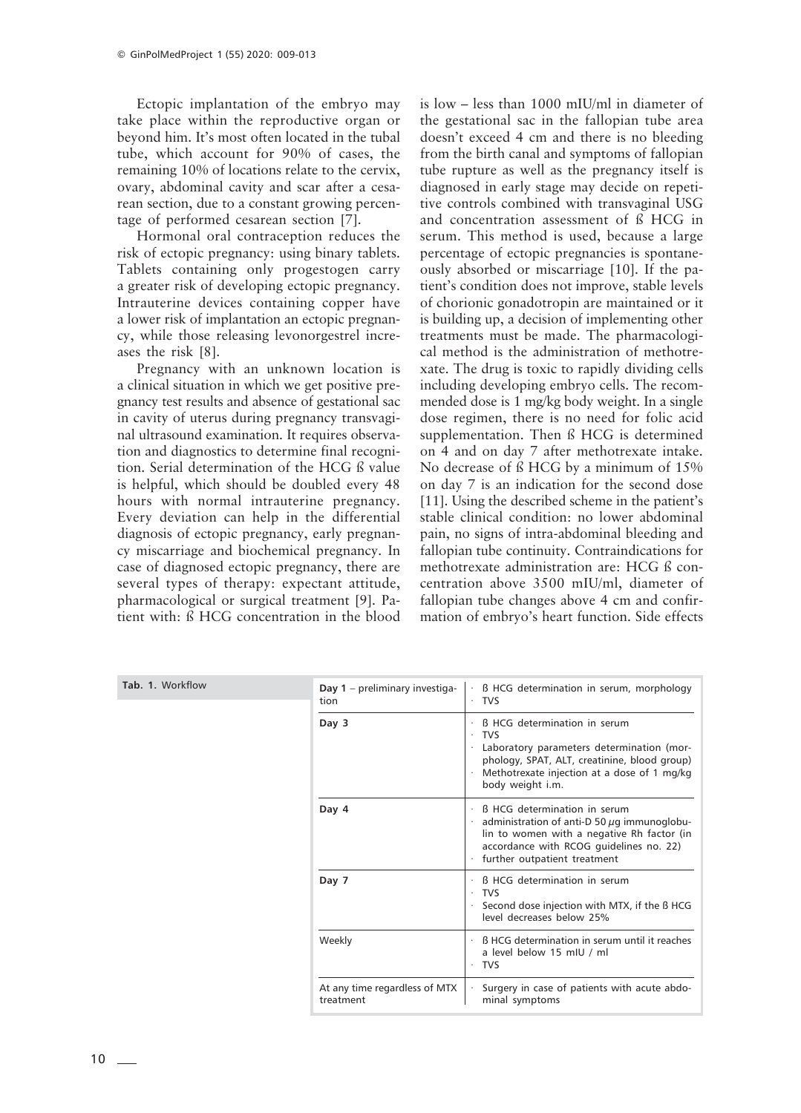Ectopic implantation of the embryo may take place within the reproductive organ or beyond him. It's most often located in the tubal tube, which account for 90% of cases, the remaining 10% of locations relate to the cervix, ovary, abdominal cavity and scar after a cesarean section, due to a constant growing percentage of performed cesarean section [7].

Hormonal oral contraception reduces the risk of ectopic pregnancy: using binary tablets. Tablets containing only progestogen carry a greater risk of developing ectopic pregnancy. Intrauterine devices containing copper have a lower risk of implantation an ectopic pregnancy, while those releasing levonorgestrel increases the risk [8].

Pregnancy with an unknown location is a clinical situation in which we get positive pregnancy test results and absence of gestational sac in cavity of uterus during pregnancy transvaginal ultrasound examination. It requires observation and diagnostics to determine final recognition. Serial determination of the HCG ß value is helpful, which should be doubled every 48 hours with normal intrauterine pregnancy. Every deviation can help in the differential diagnosis of ectopic pregnancy, early pregnancy miscarriage and biochemical pregnancy. In case of diagnosed ectopic pregnancy, there are several types of therapy: expectant attitude, pharmacological or surgical treatment [9]. Patient with: ß HCG concentration in the blood is low – less than 1000 mIU/ml in diameter of the gestational sac in the fallopian tube area doesn't exceed 4 cm and there is no bleeding from the birth canal and symptoms of fallopian tube rupture as well as the pregnancy itself is diagnosed in early stage may decide on repetitive controls combined with transvaginal USG and concentration assessment of ß HCG in serum. This method is used, because a large percentage of ectopic pregnancies is spontaneously absorbed or miscarriage [10]. If the patient's condition does not improve, stable levels of chorionic gonadotropin are maintained or it is building up, a decision of implementing other treatments must be made. The pharmacological method is the administration of methotrexate. The drug is toxic to rapidly dividing cells including developing embryo cells. The recommended dose is 1 mg/kg body weight. In a single dose regimen, there is no need for folic acid supplementation. Then ß HCG is determined on 4 and on day 7 after methotrexate intake. No decrease of ß HCG by a minimum of 15% on day 7 is an indication for the second dose [11]. Using the described scheme in the patient's stable clinical condition: no lower abdominal pain, no signs of intra-abdominal bleeding and fallopian tube continuity. Contraindications for methotrexate administration are: HCG ß concentration above 3500 mIU/ml, diameter of fallopian tube changes above 4 cm and confirmation of embryo's heart function. Side effects

| Tab. 1. Workflow | Day $1$ – preliminary investiga-<br>tion   | B HCG determination in serum, morphology<br>· TVS                                                                                                                                                                 |
|------------------|--------------------------------------------|-------------------------------------------------------------------------------------------------------------------------------------------------------------------------------------------------------------------|
|                  | Day 3                                      | <b>B</b> HCG determination in serum<br><b>TVS</b><br>Laboratory parameters determination (mor-<br>phology, SPAT, ALT, creatinine, blood group)<br>Methotrexate injection at a dose of 1 mg/kg<br>body weight i.m. |
|                  | Day 4                                      | <b>B</b> HCG determination in serum<br>administration of anti-D 50 $\mu$ g immunoglobu-<br>lin to women with a negative Rh factor (in<br>accordance with RCOG quidelines no. 22)<br>further outpatient treatment  |
|                  | Day 7                                      | <b>B HCG determination in serum</b><br><b>TVS</b><br>Second dose injection with MTX, if the B HCG<br>level decreases below 25%                                                                                    |
|                  | Weekly                                     | B HCG determination in serum until it reaches<br>a level below 15 mIU / ml<br><b>TVS</b>                                                                                                                          |
|                  | At any time regardless of MTX<br>treatment | Surgery in case of patients with acute abdo-<br>minal symptoms                                                                                                                                                    |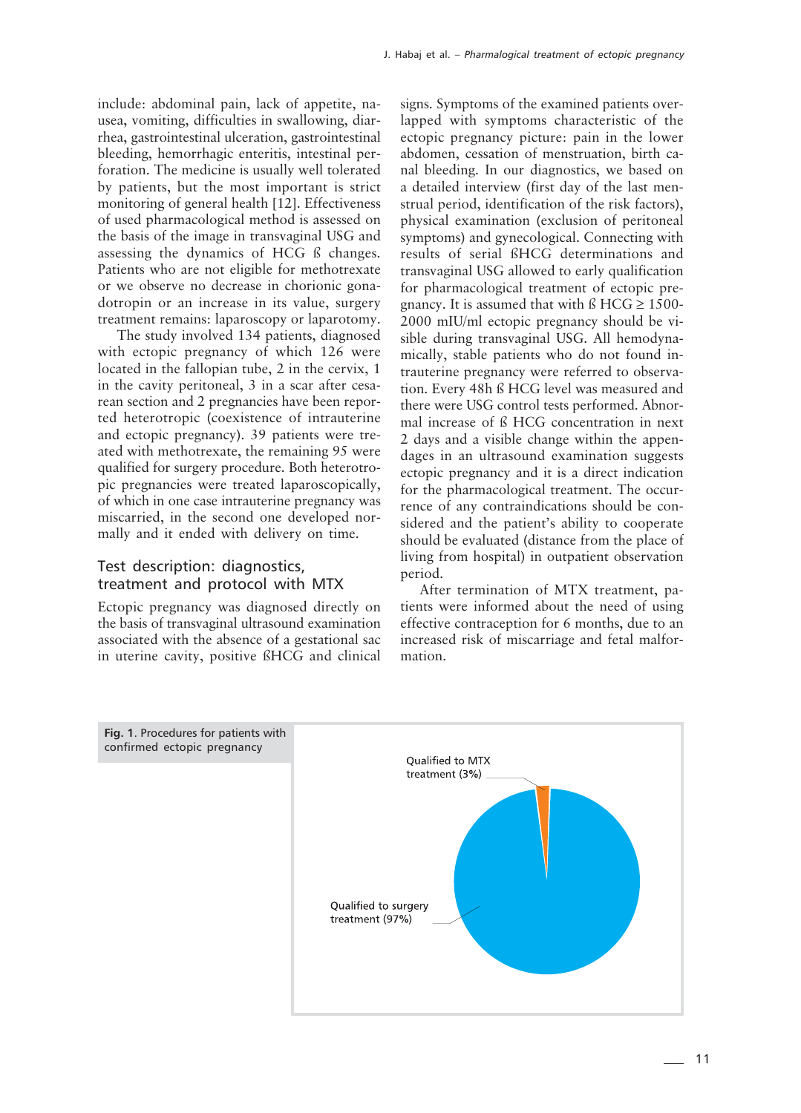include: abdominal pain, lack of appetite, nausea, vomiting, difficulties in swallowing, diarrhea, gastrointestinal ulceration, gastrointestinal bleeding, hemorrhagic enteritis, intestinal perforation. The medicine is usually well tolerated by patients, but the most important is strict monitoring of general health [12]. Effectiveness of used pharmacological method is assessed on the basis of the image in transvaginal USG and assessing the dynamics of HCG ß changes. Patients who are not eligible for methotrexate or we observe no decrease in chorionic gonadotropin or an increase in its value, surgery treatment remains: laparoscopy or laparotomy.

The study involved 134 patients, diagnosed with ectopic pregnancy of which 126 were located in the fallopian tube, 2 in the cervix, 1 in the cavity peritoneal, 3 in a scar after cesarean section and 2 pregnancies have been reported heterotropic (coexistence of intrauterine and ectopic pregnancy). 39 patients were treated with methotrexate, the remaining 95 were qualified for surgery procedure. Both heterotropic pregnancies were treated laparoscopically, of which in one case intrauterine pregnancy was miscarried, in the second one developed normally and it ended with delivery on time.

### Test description: diagnostics, treatment and protocol with MTX

Ectopic pregnancy was diagnosed directly on the basis of transvaginal ultrasound examination associated with the absence of a gestational sac in uterine cavity, positive ßHCG and clinical signs. Symptoms of the examined patients overlapped with symptoms characteristic of the ectopic pregnancy picture: pain in the lower abdomen, cessation of menstruation, birth canal bleeding. In our diagnostics, we based on a detailed interview (first day of the last menstrual period, identification of the risk factors), physical examination (exclusion of peritoneal symptoms) and gynecological. Connecting with results of serial ßHCG determinations and transvaginal USG allowed to early qualification for pharmacological treatment of ectopic pregnancy. It is assumed that with  $\beta$  HCG  $\geq$  1500-2000 mIU/ml ectopic pregnancy should be visible during transvaginal USG. All hemodynamically, stable patients who do not found intrauterine pregnancy were referred to observation. Every 48h ß HCG level was measured and there were USG control tests performed. Abnormal increase of ß HCG concentration in next 2 days and a visible change within the appendages in an ultrasound examination suggests ectopic pregnancy and it is a direct indication for the pharmacological treatment. The occurrence of any contraindications should be considered and the patient's ability to cooperate should be evaluated (distance from the place of living from hospital) in outpatient observation period.

After termination of MTX treatment, patients were informed about the need of using effective contraception for 6 months, due to an increased risk of miscarriage and fetal malformation.

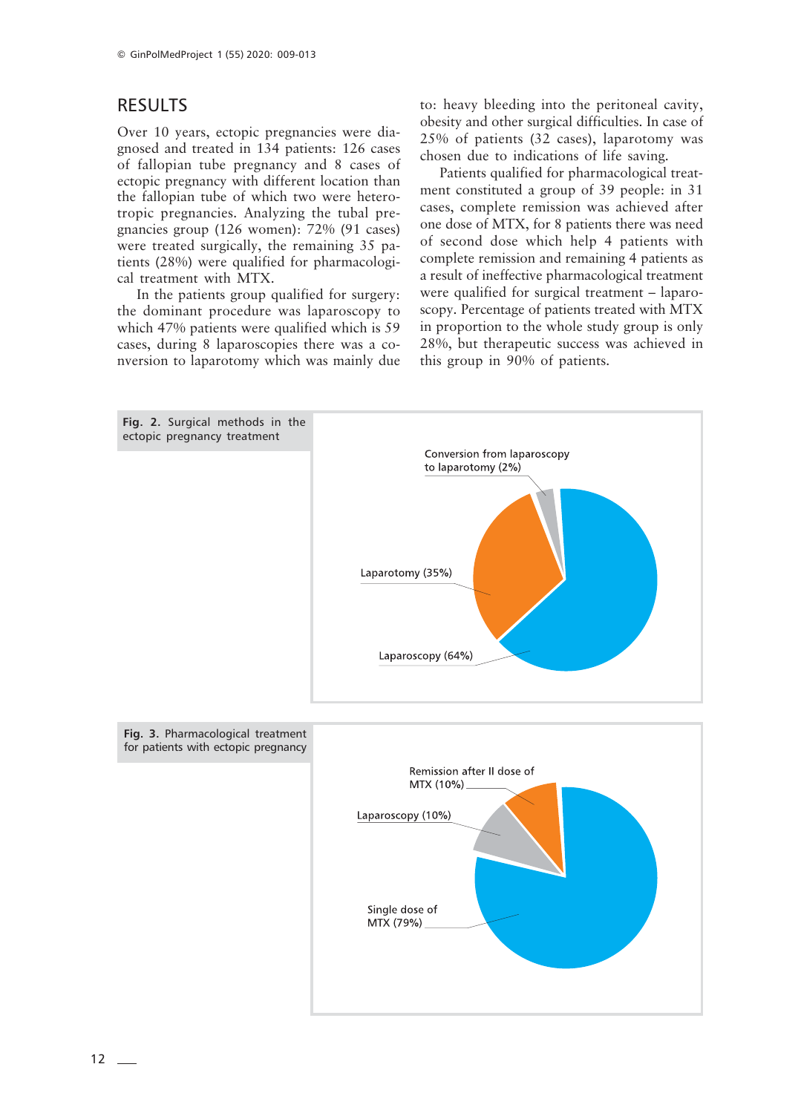# RESULTS

Over 10 years, ectopic pregnancies were diagnosed and treated in 134 patients: 126 cases of fallopian tube pregnancy and 8 cases of ectopic pregnancy with different location than the fallopian tube of which two were heterotropic pregnancies. Analyzing the tubal pregnancies group (126 women): 72% (91 cases) were treated surgically, the remaining 35 patients (28%) were qualified for pharmacological treatment with MTX.

In the patients group qualified for surgery: the dominant procedure was laparoscopy to which 47% patients were qualified which is 59 cases, during 8 laparoscopies there was a conversion to laparotomy which was mainly due to: heavy bleeding into the peritoneal cavity, obesity and other surgical difficulties. In case of 25% of patients (32 cases), laparotomy was chosen due to indications of life saving.

Patients qualified for pharmacological treatment constituted a group of 39 people: in 31 cases, complete remission was achieved after one dose of MTX, for 8 patients there was need of second dose which help 4 patients with complete remission and remaining 4 patients as a result of ineffective pharmacological treatment were qualified for surgical treatment – laparoscopy. Percentage of patients treated with MTX in proportion to the whole study group is only 28%, but therapeutic success was achieved in this group in 90% of patients.